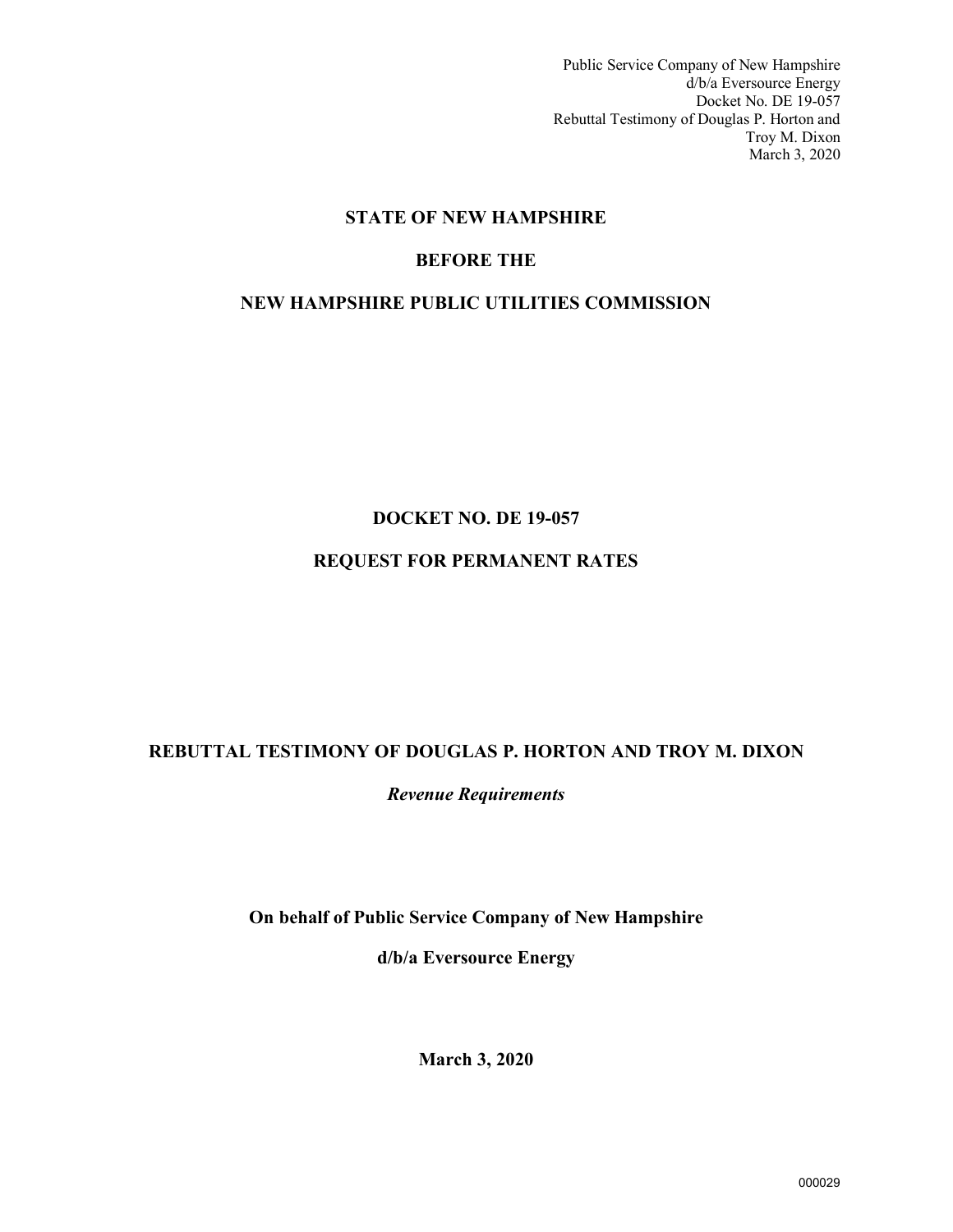Public Service Company of New Hampshire d/b/a Eversource Energy Docket No. DE 19-057 Rebuttal Testimony of Douglas P. Horton and Troy M. Dixon March 3, 2020

# **STATE OF NEW HAMPSHIRE**

# **BEFORE THE**

# **NEW HAMPSHIRE PUBLIC UTILITIES COMMISSION**

# **DOCKET NO. DE 19-057**

# **REQUEST FOR PERMANENT RATES**

# **REBUTTAL TESTIMONY OF DOUGLAS P. HORTON AND TROY M. DIXON**

*Revenue Requirements*

**On behalf of Public Service Company of New Hampshire** 

**d/b/a Eversource Energy**

**March 3, 2020**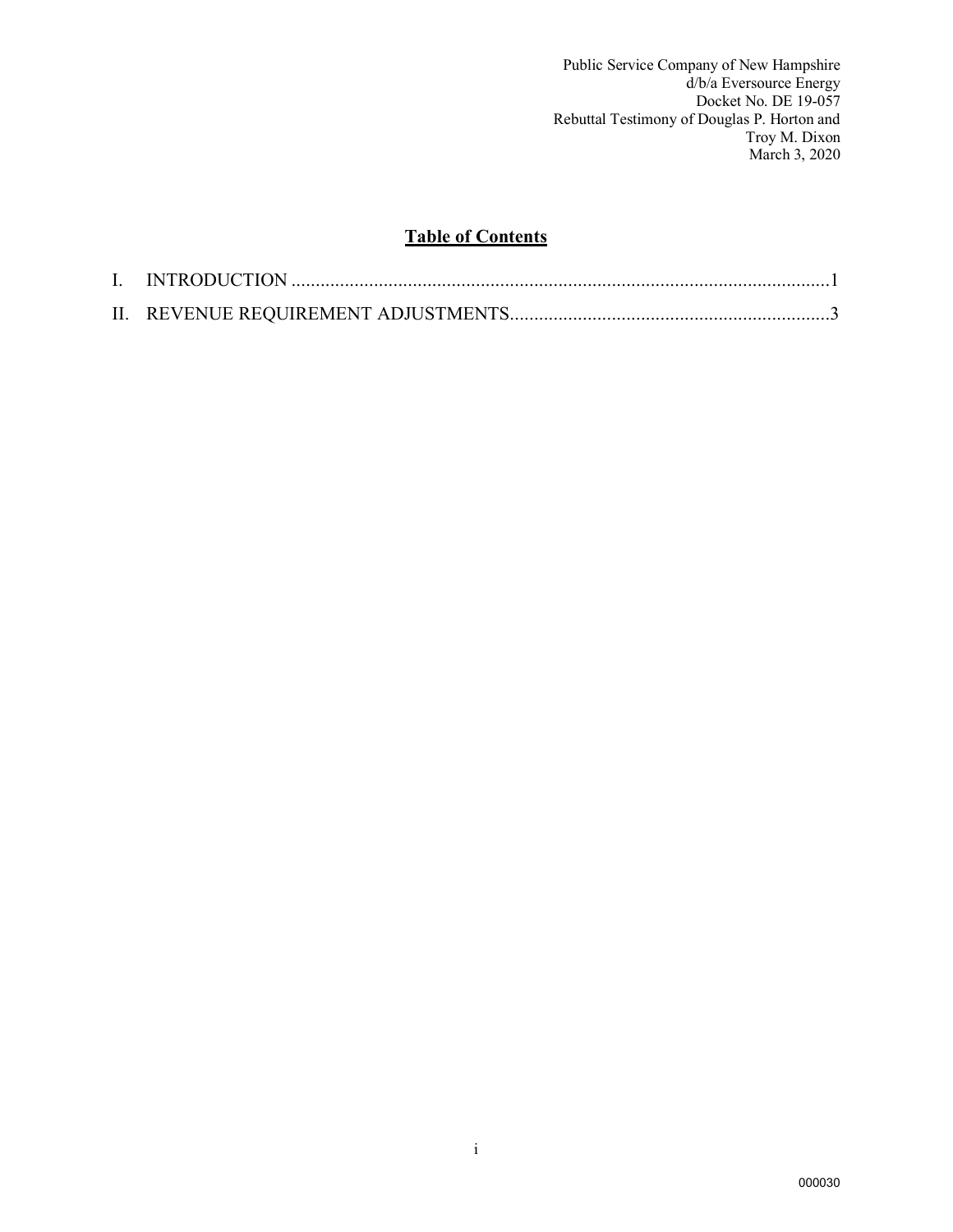Public Service Company of New Hampshire d/b/a Eversource Energy Docket No. DE 19-057 Rebuttal Testimony of Douglas P. Horton and Troy M. Dixon March 3, 2020

# **Table of Contents**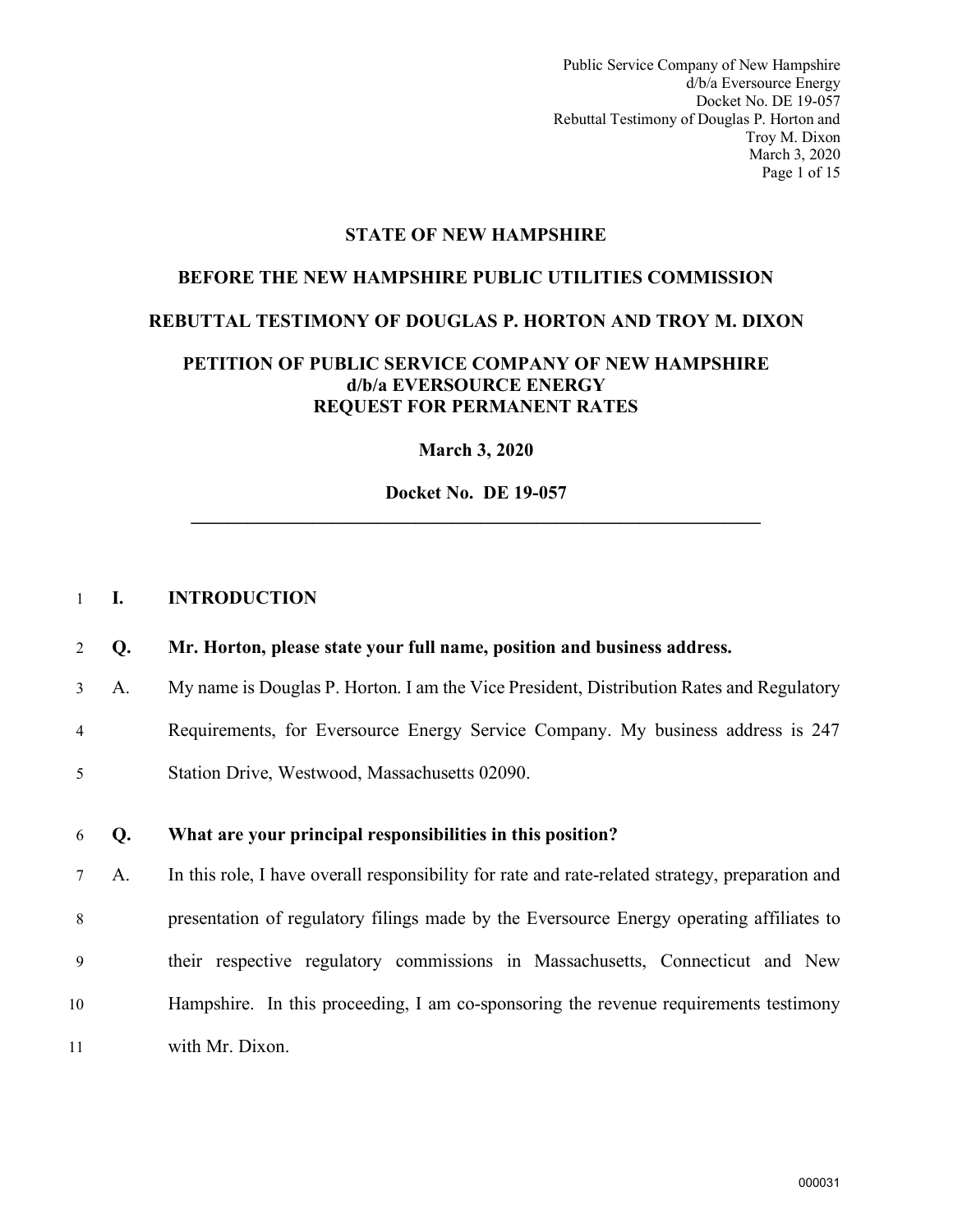Public Service Company of New Hampshire d/b/a Eversource Energy Docket No. DE 19-057 Rebuttal Testimony of Douglas P. Horton and Troy M. Dixon March 3, 2020 Page 1 of 15

#### **STATE OF NEW HAMPSHIRE**

#### **BEFORE THE NEW HAMPSHIRE PUBLIC UTILITIES COMMISSION**

#### **REBUTTAL TESTIMONY OF DOUGLAS P. HORTON AND TROY M. DIXON**

#### **PETITION OF PUBLIC SERVICE COMPANY OF NEW HAMPSHIRE d/b/a EVERSOURCE ENERGY REQUEST FOR PERMANENT RATES**

**March 3, 2020**

**Docket No. DE 19-057 \_\_\_\_\_\_\_\_\_\_\_\_\_\_\_\_\_\_\_\_\_\_\_\_\_\_\_\_\_\_\_\_\_\_\_\_\_\_\_\_\_\_\_\_\_\_\_\_\_\_\_\_\_\_\_\_\_\_\_\_\_** 

#### <span id="page-2-0"></span>1 **I. INTRODUCTION**

#### 2 **Q. Mr. Horton, please state your full name, position and business address.**

3 A. My name is Douglas P. Horton. I am the Vice President, Distribution Rates and Regulatory

4 Requirements, for Eversource Energy Service Company. My business address is 247

5 Station Drive, Westwood, Massachusetts 02090.

#### 6 **Q. What are your principal responsibilities in this position?**

7 A. In this role, I have overall responsibility for rate and rate-related strategy, preparation and 8 presentation of regulatory filings made by the Eversource Energy operating affiliates to 9 their respective regulatory commissions in Massachusetts, Connecticut and New 10 Hampshire. In this proceeding, I am co-sponsoring the revenue requirements testimony 11 with Mr. Dixon.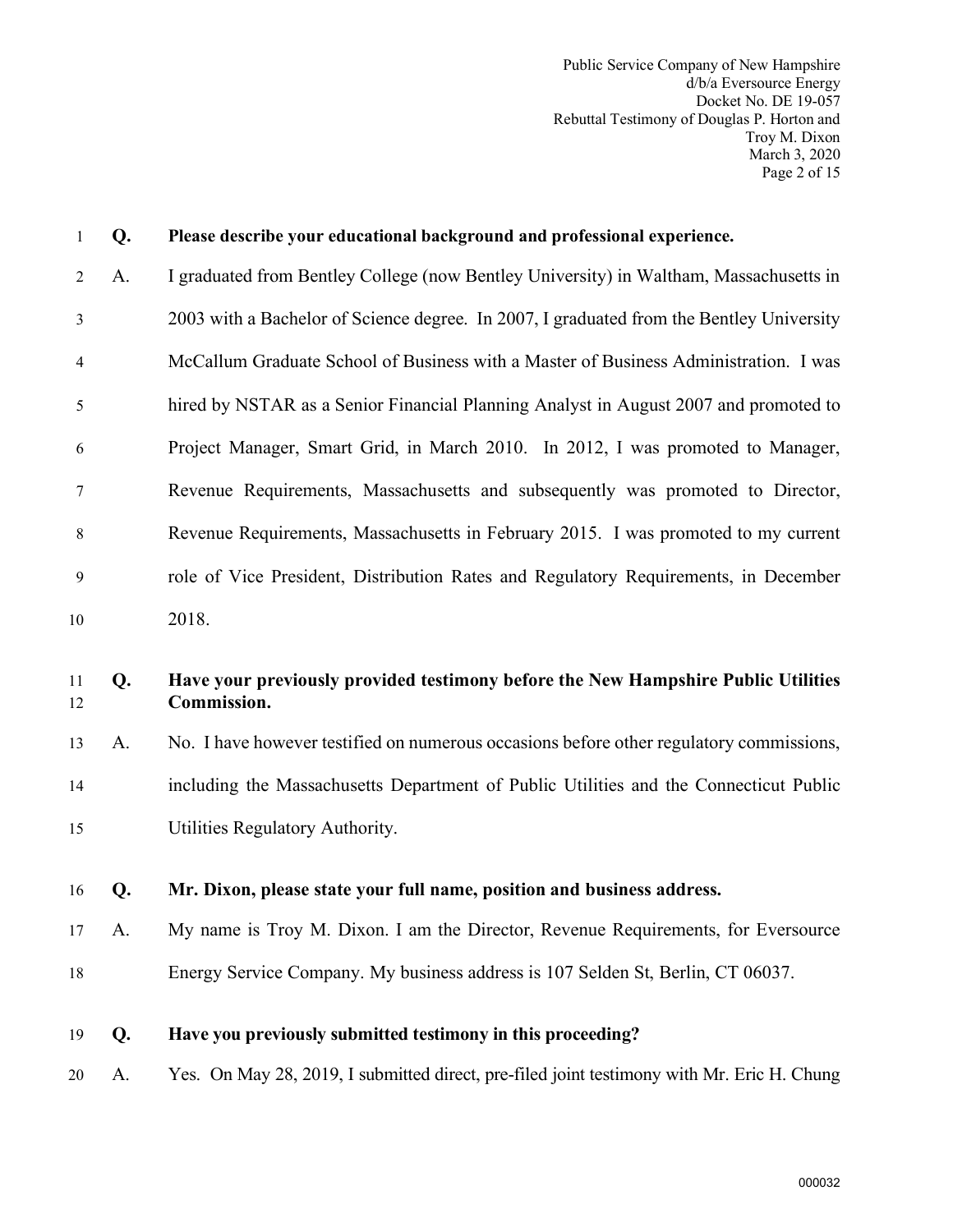Public Service Company of New Hampshire d/b/a Eversource Energy Docket No. DE 19-057 Rebuttal Testimony of Douglas P. Horton and Troy M. Dixon March 3, 2020 Page 2 of 15

| 1              | Q. | Please describe your educational background and professional experience.                         |
|----------------|----|--------------------------------------------------------------------------------------------------|
| $\overline{2}$ | A. | I graduated from Bentley College (now Bentley University) in Waltham, Massachusetts in           |
| 3              |    | 2003 with a Bachelor of Science degree. In 2007, I graduated from the Bentley University         |
| 4              |    | McCallum Graduate School of Business with a Master of Business Administration. I was             |
| 5              |    | hired by NSTAR as a Senior Financial Planning Analyst in August 2007 and promoted to             |
| 6              |    | Project Manager, Smart Grid, in March 2010. In 2012, I was promoted to Manager,                  |
| 7              |    | Revenue Requirements, Massachusetts and subsequently was promoted to Director,                   |
| 8              |    | Revenue Requirements, Massachusetts in February 2015. I was promoted to my current               |
| 9              |    | role of Vice President, Distribution Rates and Regulatory Requirements, in December              |
| 10             |    | 2018.                                                                                            |
|                |    |                                                                                                  |
| 11<br>12       | Q. | Have your previously provided testimony before the New Hampshire Public Utilities<br>Commission. |
| 13             | A. | No. I have however testified on numerous occasions before other regulatory commissions,          |
| 14             |    | including the Massachusetts Department of Public Utilities and the Connecticut Public            |
| 15             |    | Utilities Regulatory Authority.                                                                  |
| 16             | Q. | Mr. Dixon, please state your full name, position and business address.                           |
| 17             | A. | My name is Troy M. Dixon. I am the Director, Revenue Requirements, for Eversource                |
| 18             |    | Energy Service Company. My business address is 107 Selden St, Berlin, CT 06037.                  |
| 19             | Q. | Have you previously submitted testimony in this proceeding?                                      |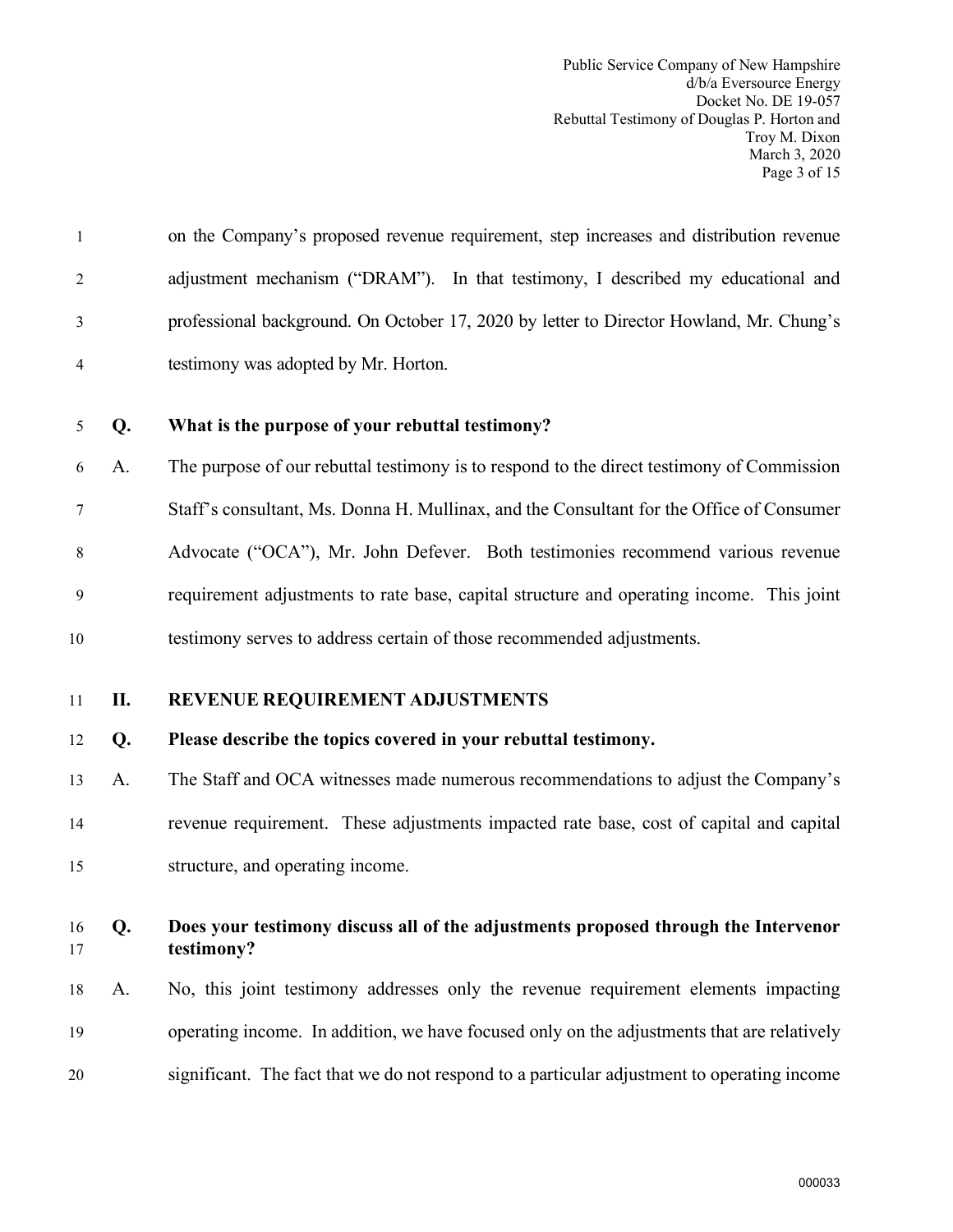Public Service Company of New Hampshire d/b/a Eversource Energy Docket No. DE 19-057 Rebuttal Testimony of Douglas P. Horton and Troy M. Dixon March 3, 2020 Page 3 of 15

|                | on the Company's proposed revenue requirement, step increases and distribution revenue  |
|----------------|-----------------------------------------------------------------------------------------|
| 2              | adjustment mechanism ("DRAM"). In that testimony, I described my educational and        |
| 3              | professional background. On October 17, 2020 by letter to Director Howland, Mr. Chung's |
| $\overline{4}$ | testimony was adopted by Mr. Horton.                                                    |

#### 5 **Q. What is the purpose of your rebuttal testimony?**

6 A. The purpose of our rebuttal testimony is to respond to the direct testimony of Commission 7 Staff's consultant, Ms. Donna H. Mullinax, and the Consultant for the Office of Consumer 8 Advocate ("OCA"), Mr. John Defever. Both testimonies recommend various revenue 9 requirement adjustments to rate base, capital structure and operating income. This joint 10 testimony serves to address certain of those recommended adjustments.

<span id="page-4-0"></span>

#### 11 **II. REVENUE REQUIREMENT ADJUSTMENTS**

#### 12 **Q. Please describe the topics covered in your rebuttal testimony.**

13 A. The Staff and OCA witnesses made numerous recommendations to adjust the Company's 14 revenue requirement. These adjustments impacted rate base, cost of capital and capital 15 structure, and operating income.

## 16 **Q. Does your testimony discuss all of the adjustments proposed through the Intervenor**  17 **testimony?**

18 A. No, this joint testimony addresses only the revenue requirement elements impacting 19 operating income. In addition, we have focused only on the adjustments that are relatively 20 significant. The fact that we do not respond to a particular adjustment to operating income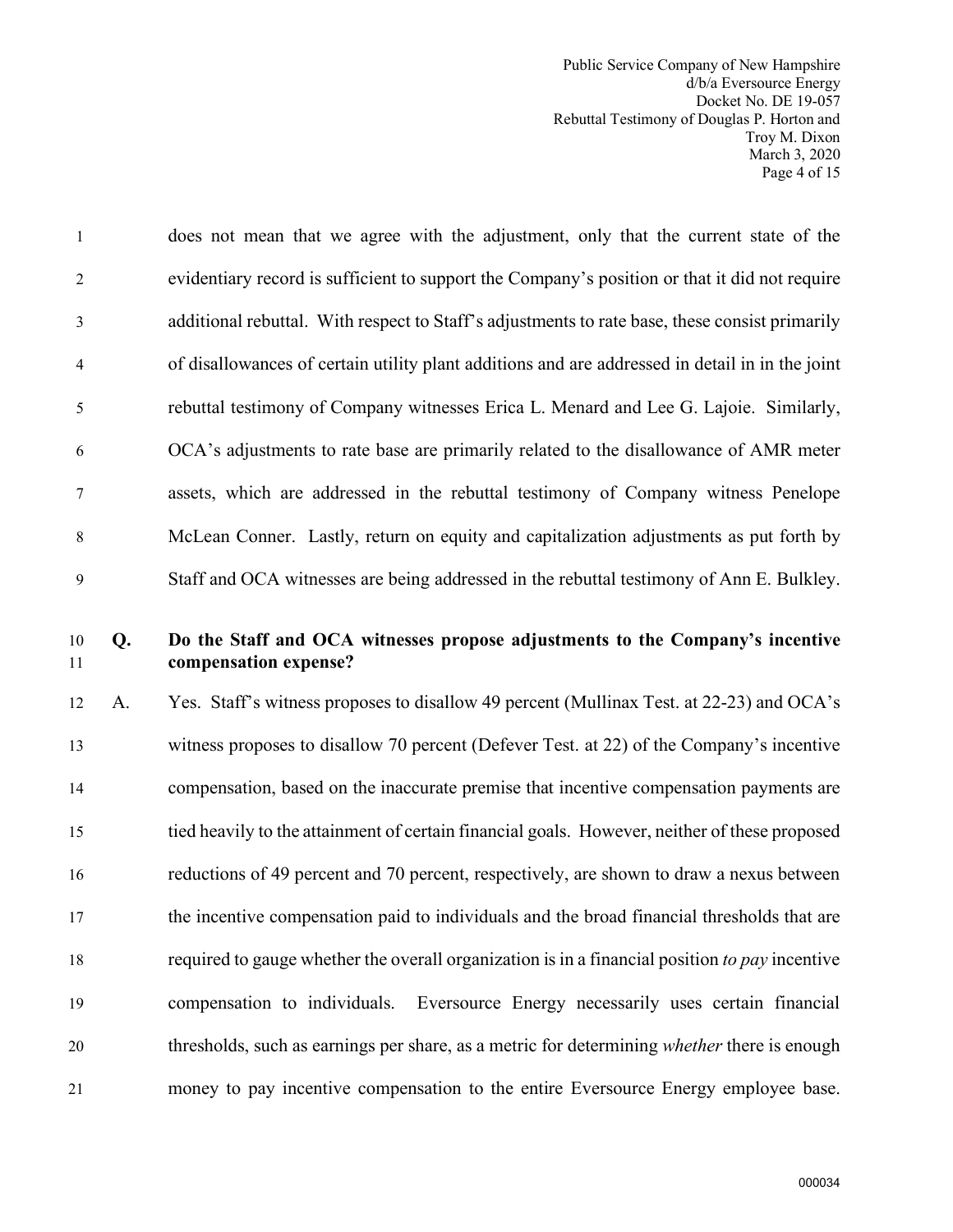Public Service Company of New Hampshire d/b/a Eversource Energy Docket No. DE 19-057 Rebuttal Testimony of Douglas P. Horton and Troy M. Dixon March 3, 2020 Page 4 of 15

1 does not mean that we agree with the adjustment, only that the current state of the 2 evidentiary record is sufficient to support the Company's position or that it did not require 3 additional rebuttal. With respect to Staff's adjustments to rate base, these consist primarily 4 of disallowances of certain utility plant additions and are addressed in detail in in the joint 5 rebuttal testimony of Company witnesses Erica L. Menard and Lee G. Lajoie. Similarly, 6 OCA's adjustments to rate base are primarily related to the disallowance of AMR meter 7 assets, which are addressed in the rebuttal testimony of Company witness Penelope 8 McLean Conner. Lastly, return on equity and capitalization adjustments as put forth by 9 Staff and OCA witnesses are being addressed in the rebuttal testimony of Ann E. Bulkley.

# 10 **Q. Do the Staff and OCA witnesses propose adjustments to the Company's incentive**  11 **compensation expense?**

12 A. Yes. Staff's witness proposes to disallow 49 percent (Mullinax Test. at 22-23) and OCA's 13 witness proposes to disallow 70 percent (Defever Test. at 22) of the Company's incentive 14 compensation, based on the inaccurate premise that incentive compensation payments are 15 tied heavily to the attainment of certain financial goals. However, neither of these proposed 16 reductions of 49 percent and 70 percent, respectively, are shown to draw a nexus between 17 the incentive compensation paid to individuals and the broad financial thresholds that are 18 required to gauge whether the overall organization is in a financial position *to pay* incentive 19 compensation to individuals. Eversource Energy necessarily uses certain financial 20 thresholds, such as earnings per share, as a metric for determining *whether* there is enough 21 money to pay incentive compensation to the entire Eversource Energy employee base.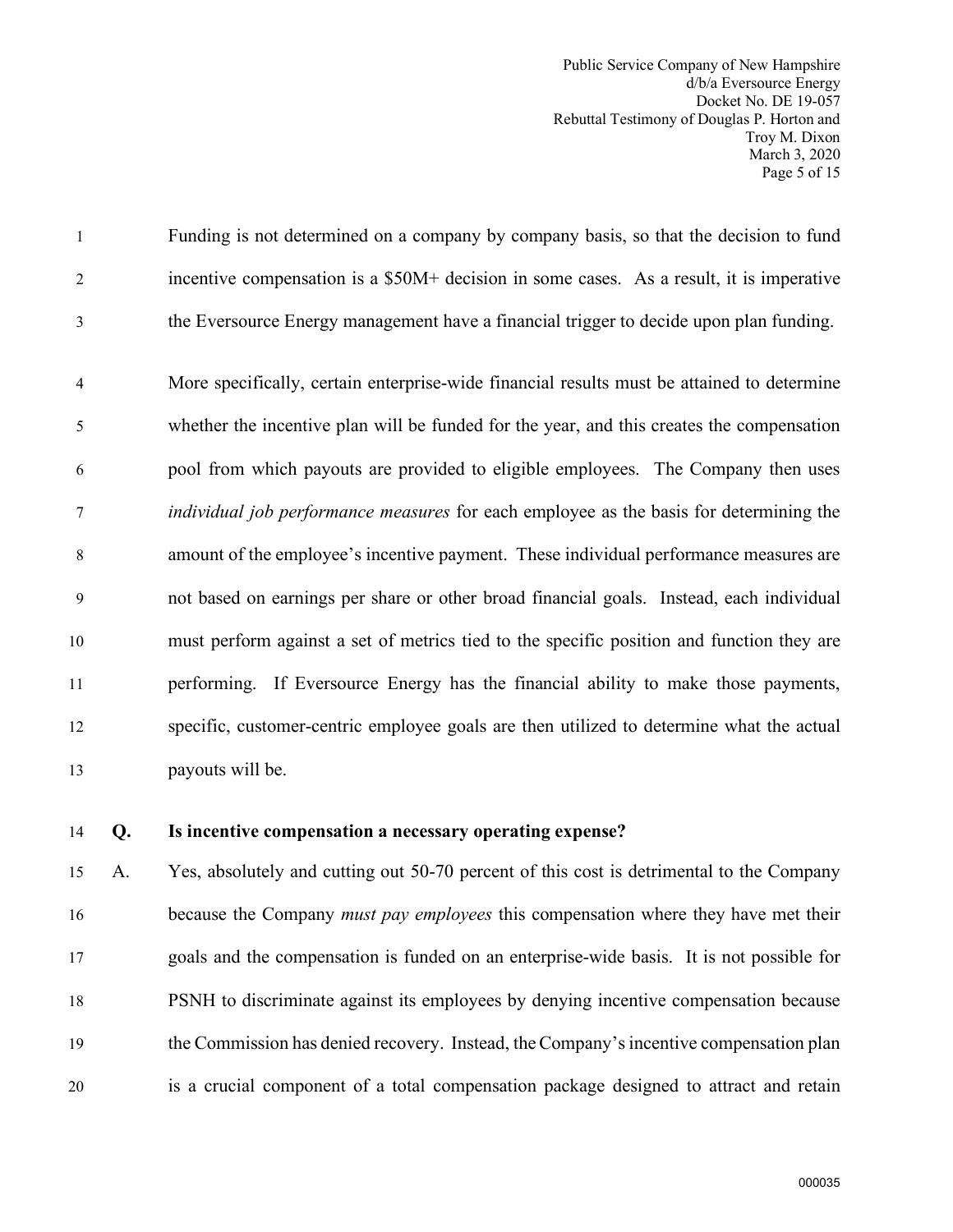Public Service Company of New Hampshire d/b/a Eversource Energy Docket No. DE 19-057 Rebuttal Testimony of Douglas P. Horton and Troy M. Dixon March 3, 2020 Page 5 of 15

1 Funding is not determined on a company by company basis, so that the decision to fund 2 incentive compensation is a \$50M+ decision in some cases. As a result, it is imperative 3 the Eversource Energy management have a financial trigger to decide upon plan funding.

4 More specifically, certain enterprise-wide financial results must be attained to determine 5 whether the incentive plan will be funded for the year, and this creates the compensation 6 pool from which payouts are provided to eligible employees. The Company then uses 7 *individual job performance measures* for each employee as the basis for determining the 8 amount of the employee's incentive payment. These individual performance measures are 9 not based on earnings per share or other broad financial goals. Instead, each individual 10 must perform against a set of metrics tied to the specific position and function they are 11 performing. If Eversource Energy has the financial ability to make those payments, 12 specific, customer-centric employee goals are then utilized to determine what the actual 13 payouts will be.

## 14 **Q. Is incentive compensation a necessary operating expense?**

15 A. Yes, absolutely and cutting out 50-70 percent of this cost is detrimental to the Company 16 because the Company *must pay employees* this compensation where they have met their 17 goals and the compensation is funded on an enterprise-wide basis. It is not possible for 18 PSNH to discriminate against its employees by denying incentive compensation because 19 the Commission has denied recovery. Instead, the Company's incentive compensation plan 20 is a crucial component of a total compensation package designed to attract and retain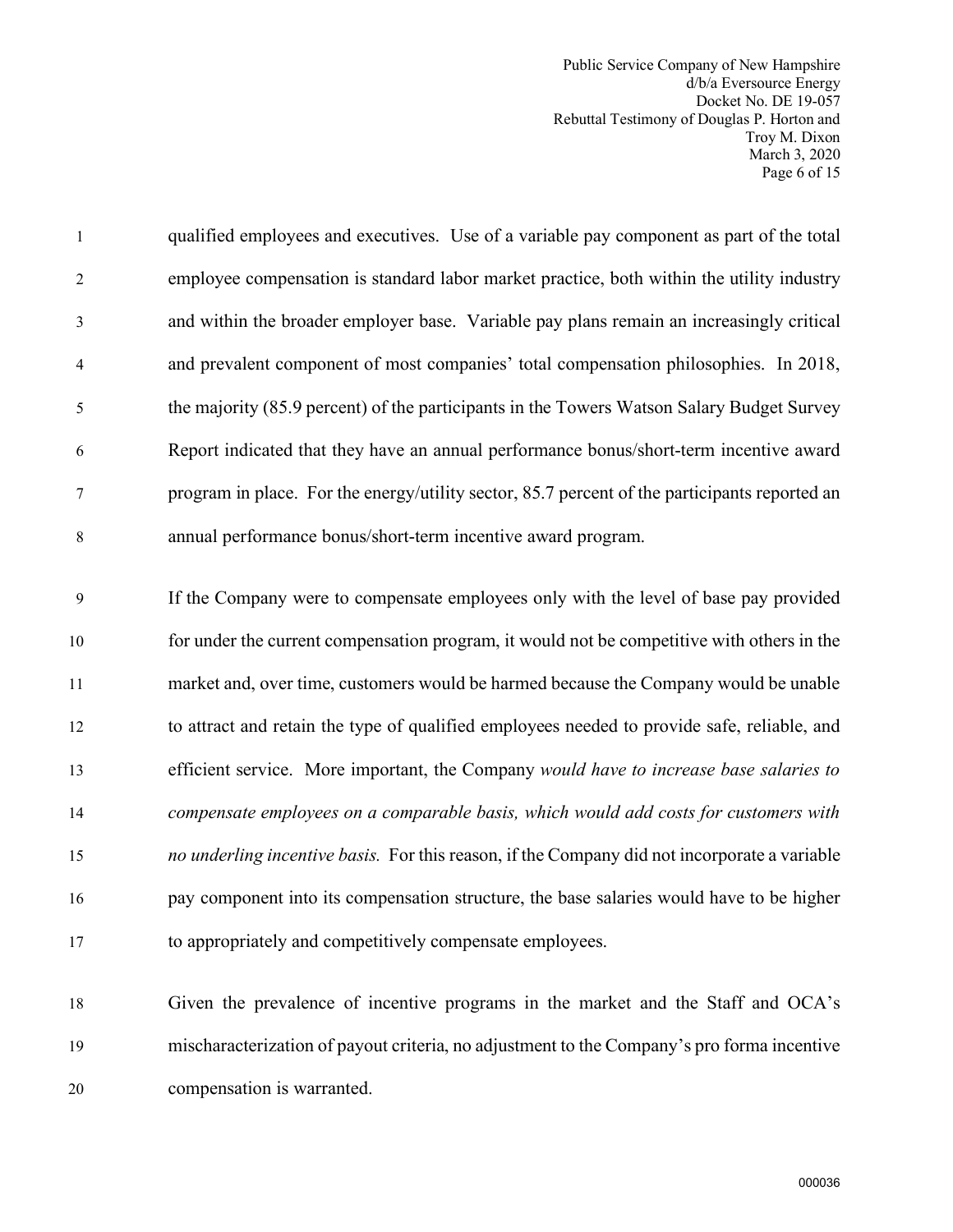Public Service Company of New Hampshire d/b/a Eversource Energy Docket No. DE 19-057 Rebuttal Testimony of Douglas P. Horton and Troy M. Dixon March 3, 2020 Page 6 of 15

1 qualified employees and executives. Use of a variable pay component as part of the total 2 employee compensation is standard labor market practice, both within the utility industry 3 and within the broader employer base. Variable pay plans remain an increasingly critical 4 and prevalent component of most companies' total compensation philosophies. In 2018, 5 the majority (85.9 percent) of the participants in the Towers Watson Salary Budget Survey 6 Report indicated that they have an annual performance bonus/short-term incentive award 7 program in place. For the energy/utility sector, 85.7 percent of the participants reported an 8 annual performance bonus/short-term incentive award program.

9 If the Company were to compensate employees only with the level of base pay provided 10 for under the current compensation program, it would not be competitive with others in the 11 market and, over time, customers would be harmed because the Company would be unable 12 to attract and retain the type of qualified employees needed to provide safe, reliable, and 13 efficient service. More important, the Company *would have to increase base salaries to*  14 *compensate employees on a comparable basis, which would add costs for customers with*  15 *no underling incentive basis.* For this reason, if the Company did not incorporate a variable 16 pay component into its compensation structure, the base salaries would have to be higher 17 to appropriately and competitively compensate employees.

18 Given the prevalence of incentive programs in the market and the Staff and OCA's 19 mischaracterization of payout criteria, no adjustment to the Company's pro forma incentive 20 compensation is warranted.

000036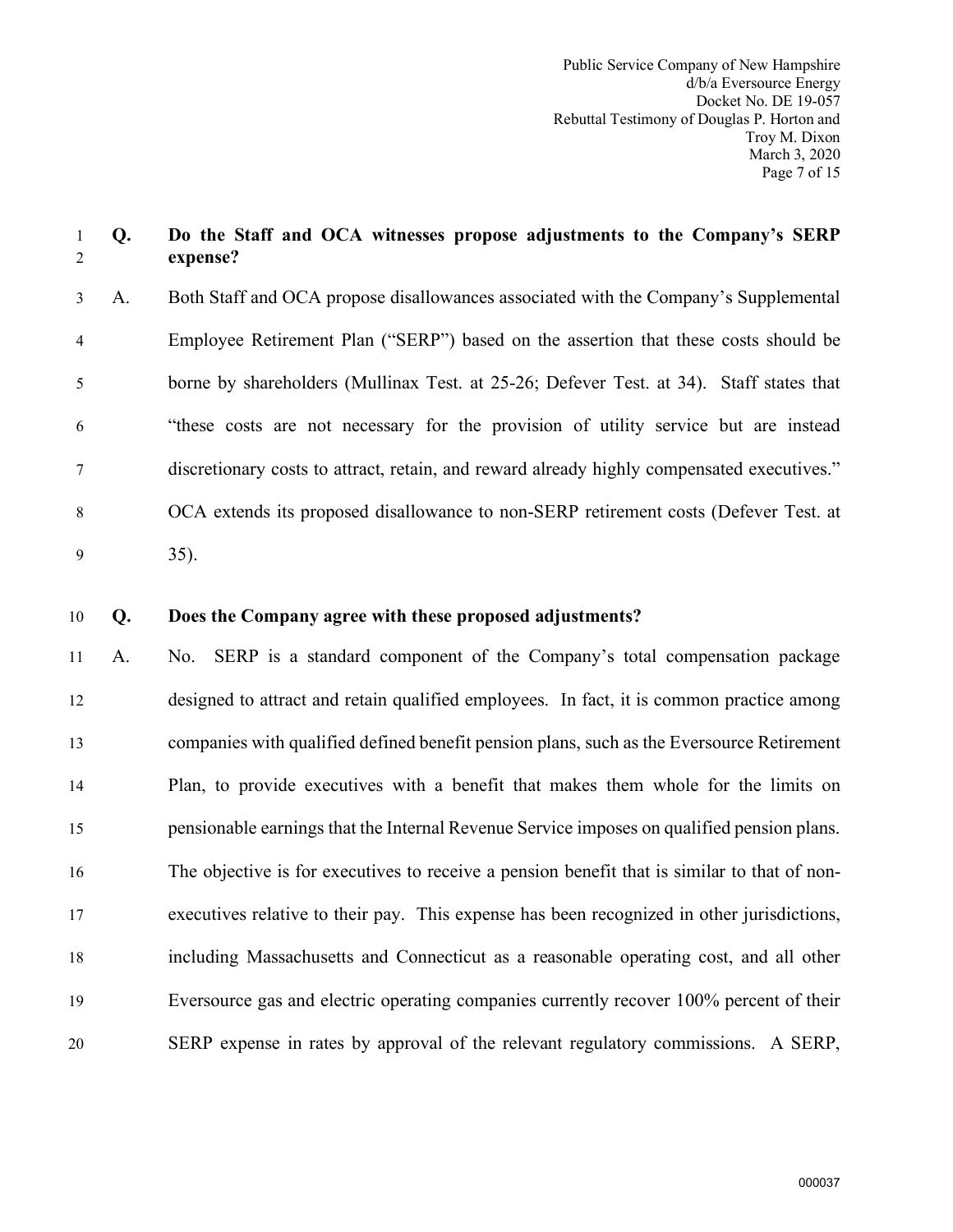# 1 **Q. Do the Staff and OCA witnesses propose adjustments to the Company's SERP** 2 **expense?**

- 3 A. Both Staff and OCA propose disallowances associated with the Company's Supplemental 4 Employee Retirement Plan ("SERP") based on the assertion that these costs should be 5 borne by shareholders (Mullinax Test. at 25-26; Defever Test. at 34). Staff states that 6 "these costs are not necessary for the provision of utility service but are instead 7 discretionary costs to attract, retain, and reward already highly compensated executives." 8 OCA extends its proposed disallowance to non-SERP retirement costs (Defever Test. at 9 35).
- 10 **Q. Does the Company agree with these proposed adjustments?**

11 A. No. SERP is a standard component of the Company's total compensation package 12 designed to attract and retain qualified employees. In fact, it is common practice among 13 companies with qualified defined benefit pension plans, such as the Eversource Retirement 14 Plan, to provide executives with a benefit that makes them whole for the limits on 15 pensionable earnings that the Internal Revenue Service imposes on qualified pension plans. 16 The objective is for executives to receive a pension benefit that is similar to that of non-17 executives relative to their pay. This expense has been recognized in other jurisdictions, 18 including Massachusetts and Connecticut as a reasonable operating cost, and all other 19 Eversource gas and electric operating companies currently recover 100% percent of their 20 SERP expense in rates by approval of the relevant regulatory commissions. A SERP,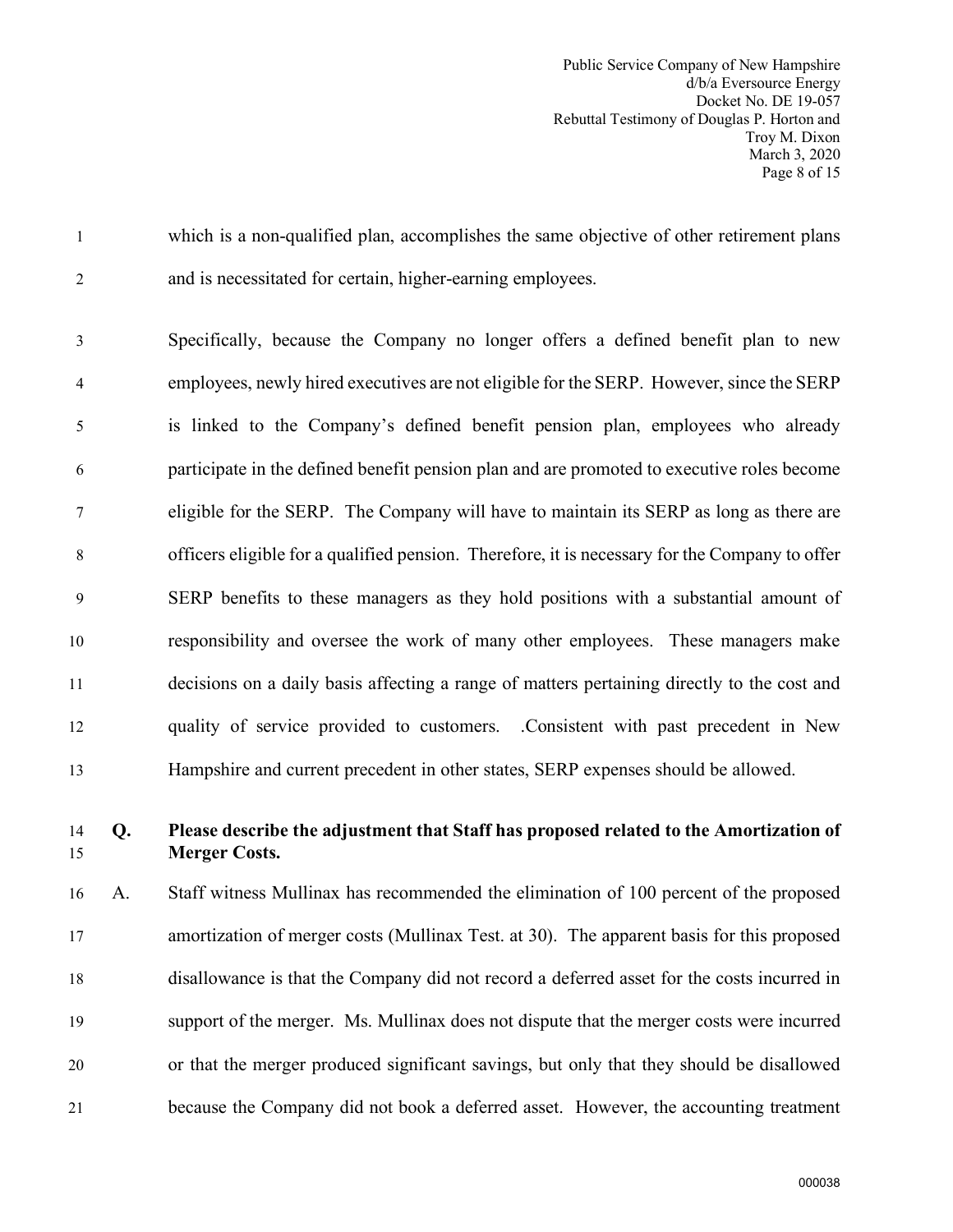Public Service Company of New Hampshire d/b/a Eversource Energy Docket No. DE 19-057 Rebuttal Testimony of Douglas P. Horton and Troy M. Dixon March 3, 2020 Page 8 of 15

1 which is a non-qualified plan, accomplishes the same objective of other retirement plans 2 and is necessitated for certain, higher-earning employees.

3 Specifically, because the Company no longer offers a defined benefit plan to new 4 employees, newly hired executives are not eligible for the SERP. However, since the SERP 5 is linked to the Company's defined benefit pension plan, employees who already 6 participate in the defined benefit pension plan and are promoted to executive roles become 7 eligible for the SERP. The Company will have to maintain its SERP as long as there are 8 officers eligible for a qualified pension. Therefore, it is necessary for the Company to offer 9 SERP benefits to these managers as they hold positions with a substantial amount of 10 responsibility and oversee the work of many other employees. These managers make 11 decisions on a daily basis affecting a range of matters pertaining directly to the cost and 12 quality of service provided to customers. .Consistent with past precedent in New 13 Hampshire and current precedent in other states, SERP expenses should be allowed.

# 14 **Q. Please describe the adjustment that Staff has proposed related to the Amortization of**  15 **Merger Costs.**

16 A. Staff witness Mullinax has recommended the elimination of 100 percent of the proposed 17 amortization of merger costs (Mullinax Test. at 30). The apparent basis for this proposed 18 disallowance is that the Company did not record a deferred asset for the costs incurred in 19 support of the merger. Ms. Mullinax does not dispute that the merger costs were incurred 20 or that the merger produced significant savings, but only that they should be disallowed 21 because the Company did not book a deferred asset. However, the accounting treatment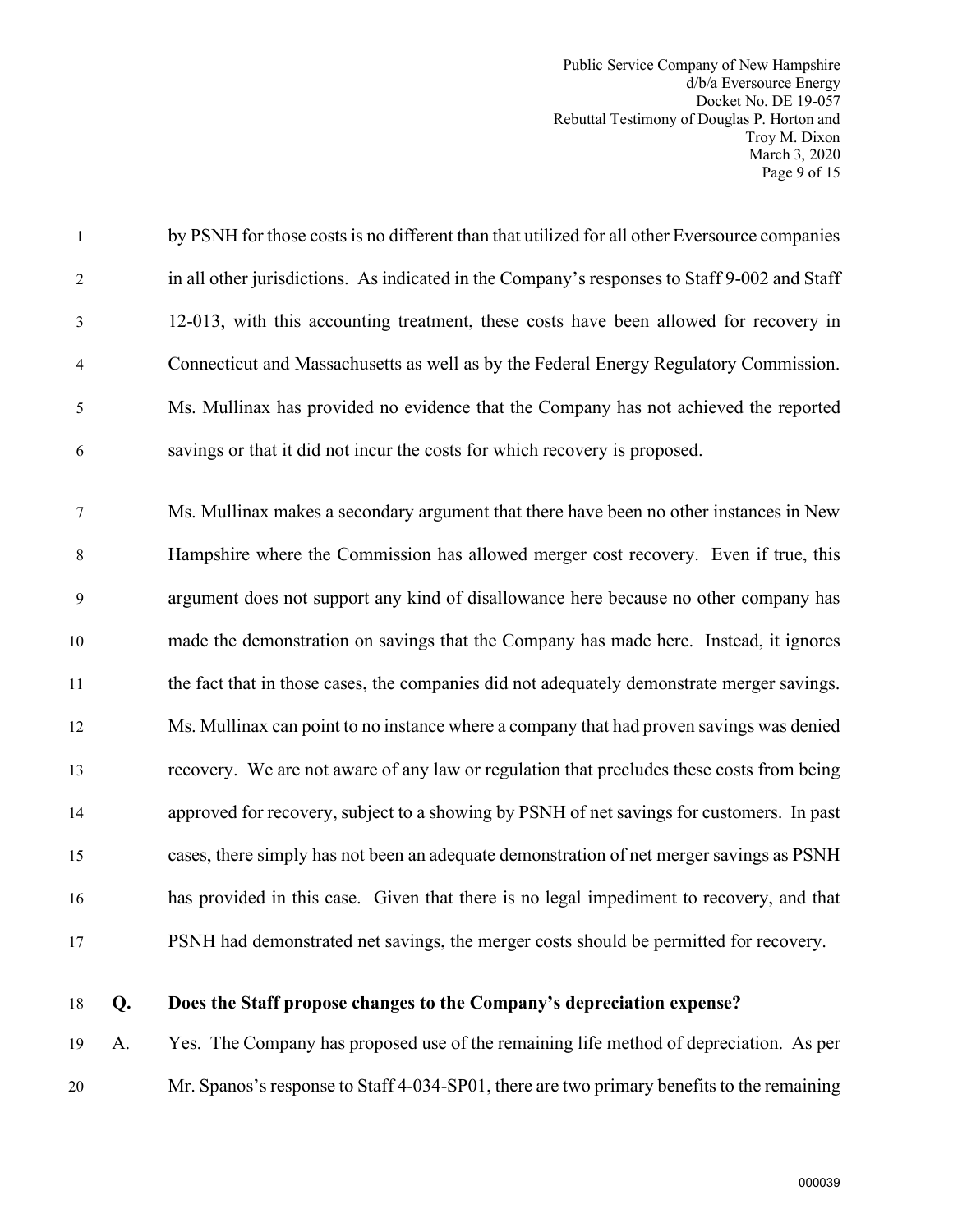Public Service Company of New Hampshire d/b/a Eversource Energy Docket No. DE 19-057 Rebuttal Testimony of Douglas P. Horton and Troy M. Dixon March 3, 2020 Page 9 of 15

| $\mathbf{1}$     | by PSNH for those costs is no different than that utilized for all other Eversource companies |
|------------------|-----------------------------------------------------------------------------------------------|
| $\overline{c}$   | in all other jurisdictions. As indicated in the Company's responses to Staff 9-002 and Staff  |
| 3                | 12-013, with this accounting treatment, these costs have been allowed for recovery in         |
| $\overline{4}$   | Connecticut and Massachusetts as well as by the Federal Energy Regulatory Commission.         |
| 5                | Ms. Mullinax has provided no evidence that the Company has not achieved the reported          |
| 6                | savings or that it did not incur the costs for which recovery is proposed.                    |
| $\tau$           | Ms. Mullinax makes a secondary argument that there have been no other instances in New        |
| 8                | Hampshire where the Commission has allowed merger cost recovery. Even if true, this           |
| $\boldsymbol{9}$ | argument does not support any kind of disallowance here because no other company has          |
| 10               | made the demonstration on savings that the Company has made here. Instead, it ignores         |
| 11               | the fact that in those cases, the companies did not adequately demonstrate merger savings.    |
| 12               | Ms. Mullinax can point to no instance where a company that had proven savings was denied      |
| 13               | recovery. We are not aware of any law or regulation that precludes these costs from being     |
| 14               | approved for recovery, subject to a showing by PSNH of net savings for customers. In past     |
| 15               | cases, there simply has not been an adequate demonstration of net merger savings as PSNH      |
| 16               | has provided in this case. Given that there is no legal impediment to recovery, and that      |
| 17               | PSNH had demonstrated net savings, the merger costs should be permitted for recovery.         |
|                  |                                                                                               |

# 18 **Q. Does the Staff propose changes to the Company's depreciation expense?**

19 A. Yes. The Company has proposed use of the remaining life method of depreciation. As per 20 Mr. Spanos's response to Staff 4-034-SP01, there are two primary benefits to the remaining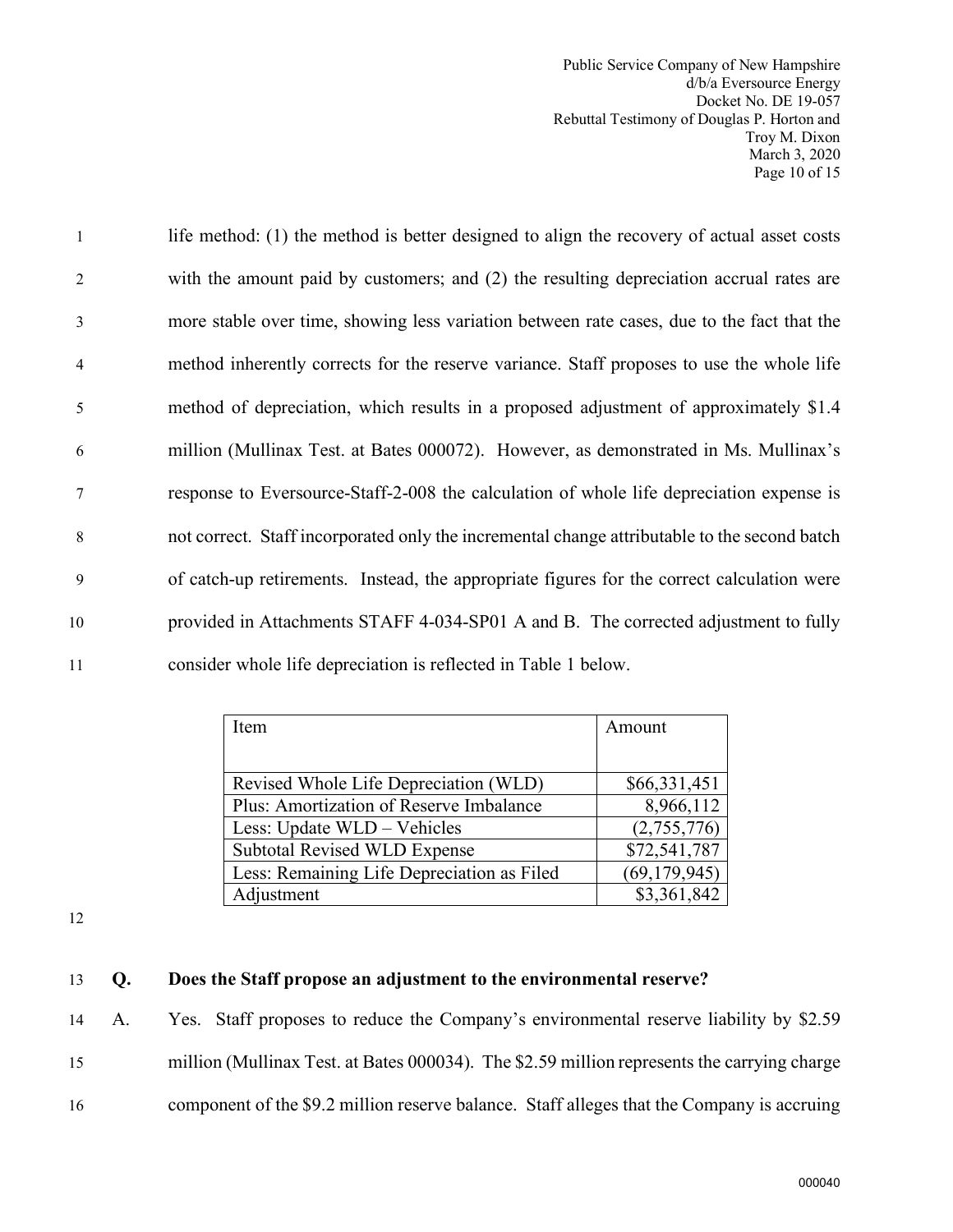Public Service Company of New Hampshire d/b/a Eversource Energy Docket No. DE 19-057 Rebuttal Testimony of Douglas P. Horton and Troy M. Dixon March 3, 2020 Page 10 of 15

| $\overline{1}$  | life method: (1) the method is better designed to align the recovery of actual asset costs   |
|-----------------|----------------------------------------------------------------------------------------------|
| 2               | with the amount paid by customers; and (2) the resulting depreciation accrual rates are      |
| $\mathfrak{Z}$  | more stable over time, showing less variation between rate cases, due to the fact that the   |
| $\overline{4}$  | method inherently corrects for the reserve variance. Staff proposes to use the whole life    |
| 5               | method of depreciation, which results in a proposed adjustment of approximately \$1.4        |
| 6               | million (Mullinax Test. at Bates 000072). However, as demonstrated in Ms. Mullinax's         |
| $7\phantom{.0}$ | response to Eversource-Staff-2-008 the calculation of whole life depreciation expense is     |
| 8               | not correct. Staff incorporated only the incremental change attributable to the second batch |
| 9               | of catch-up retirements. Instead, the appropriate figures for the correct calculation were   |
| 10              | provided in Attachments STAFF 4-034-SP01 A and B. The corrected adjustment to fully          |
| 11              | consider whole life depreciation is reflected in Table 1 below.                              |

| Item                                       | Amount         |
|--------------------------------------------|----------------|
|                                            |                |
| Revised Whole Life Depreciation (WLD)      | \$66,331,451   |
| Plus: Amortization of Reserve Imbalance    | 8,966,112      |
| Less: Update WLD – Vehicles                | (2,755,776)    |
| <b>Subtotal Revised WLD Expense</b>        | \$72,541,787   |
| Less: Remaining Life Depreciation as Filed | (69, 179, 945) |
| Adjustment                                 | \$3,361,842    |

12

### 13 **Q. Does the Staff propose an adjustment to the environmental reserve?**

14 A. Yes. Staff proposes to reduce the Company's environmental reserve liability by \$2.59 15 million (Mullinax Test. at Bates 000034). The \$2.59 million represents the carrying charge 16 component of the \$9.2 million reserve balance. Staff alleges that the Company is accruing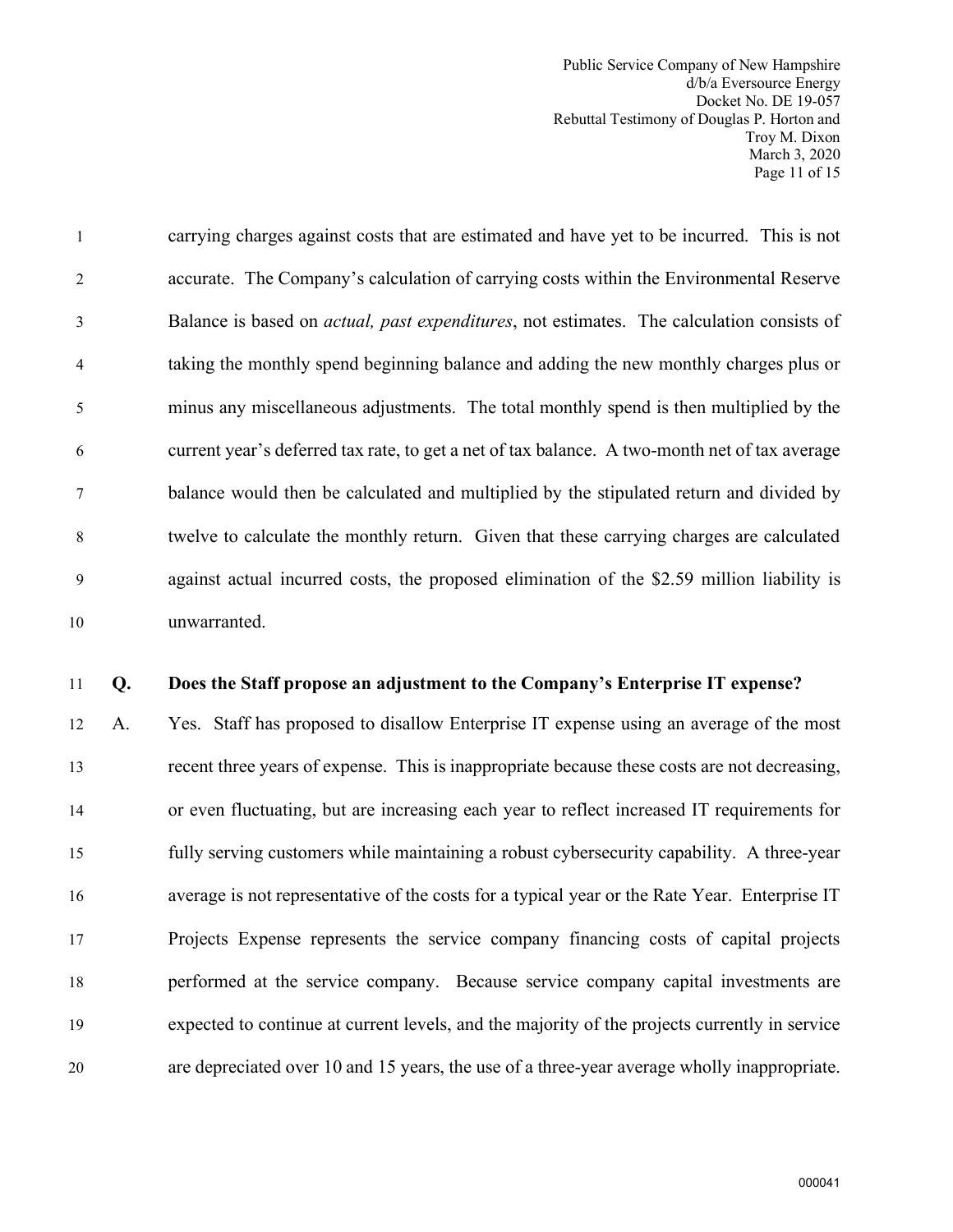Public Service Company of New Hampshire d/b/a Eversource Energy Docket No. DE 19-057 Rebuttal Testimony of Douglas P. Horton and Troy M. Dixon March 3, 2020 Page 11 of 15

1 carrying charges against costs that are estimated and have yet to be incurred. This is not 2 accurate. The Company's calculation of carrying costs within the Environmental Reserve 3 Balance is based on *actual, past expenditures*, not estimates. The calculation consists of 4 taking the monthly spend beginning balance and adding the new monthly charges plus or 5 minus any miscellaneous adjustments. The total monthly spend is then multiplied by the 6 current year's deferred tax rate, to get a net of tax balance. A two-month net of tax average 7 balance would then be calculated and multiplied by the stipulated return and divided by 8 twelve to calculate the monthly return. Given that these carrying charges are calculated 9 against actual incurred costs, the proposed elimination of the \$2.59 million liability is 10 unwarranted.

#### 11 **Q. Does the Staff propose an adjustment to the Company's Enterprise IT expense?**

12 A. Yes. Staff has proposed to disallow Enterprise IT expense using an average of the most 13 recent three years of expense. This is inappropriate because these costs are not decreasing, 14 or even fluctuating, but are increasing each year to reflect increased IT requirements for 15 fully serving customers while maintaining a robust cybersecurity capability. A three-year 16 average is not representative of the costs for a typical year or the Rate Year. Enterprise IT 17 Projects Expense represents the service company financing costs of capital projects 18 performed at the service company. Because service company capital investments are 19 expected to continue at current levels, and the majority of the projects currently in service 20 are depreciated over 10 and 15 years, the use of a three-year average wholly inappropriate.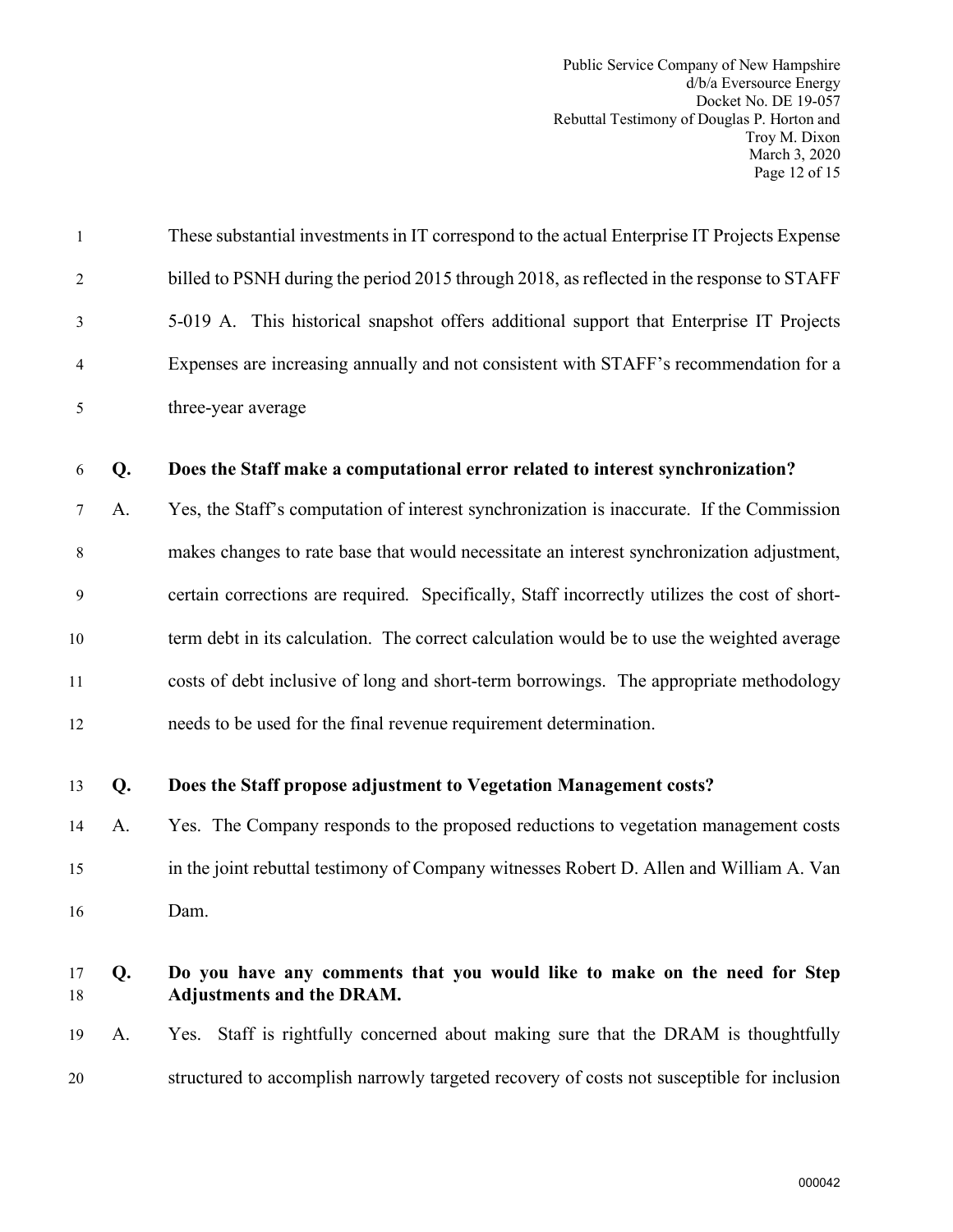Public Service Company of New Hampshire d/b/a Eversource Energy Docket No. DE 19-057 Rebuttal Testimony of Douglas P. Horton and Troy M. Dixon March 3, 2020 Page 12 of 15

| $\mathbf{1}$   |    | These substantial investments in IT correspond to the actual Enterprise IT Projects Expense            |
|----------------|----|--------------------------------------------------------------------------------------------------------|
| $\overline{2}$ |    | billed to PSNH during the period 2015 through 2018, as reflected in the response to STAFF              |
| 3              |    | 5-019 A. This historical snapshot offers additional support that Enterprise IT Projects                |
| $\overline{4}$ |    | Expenses are increasing annually and not consistent with STAFF's recommendation for a                  |
| 5              |    | three-year average                                                                                     |
| 6              | Q. | Does the Staff make a computational error related to interest synchronization?                         |
| 7              | A. | Yes, the Staff's computation of interest synchronization is inaccurate. If the Commission              |
| 8              |    | makes changes to rate base that would necessitate an interest synchronization adjustment,              |
| 9              |    | certain corrections are required. Specifically, Staff incorrectly utilizes the cost of short-          |
| 10             |    | term debt in its calculation. The correct calculation would be to use the weighted average             |
| 11             |    | costs of debt inclusive of long and short-term borrowings. The appropriate methodology                 |
| 12             |    | needs to be used for the final revenue requirement determination.                                      |
| 13             | Q. | Does the Staff propose adjustment to Vegetation Management costs?                                      |
| 14             | A. | Yes. The Company responds to the proposed reductions to vegetation management costs                    |
| 15             |    | in the joint rebuttal testimony of Company witnesses Robert D. Allen and William A. Van                |
| 16             |    | Dam.                                                                                                   |
| 17<br>18       | Q. | Do you have any comments that you would like to make on the need for Step<br>Adjustments and the DRAM. |
| 19             | A. | Yes. Staff is rightfully concerned about making sure that the DRAM is thoughtfully                     |
| 20             |    | structured to accomplish narrowly targeted recovery of costs not susceptible for inclusion             |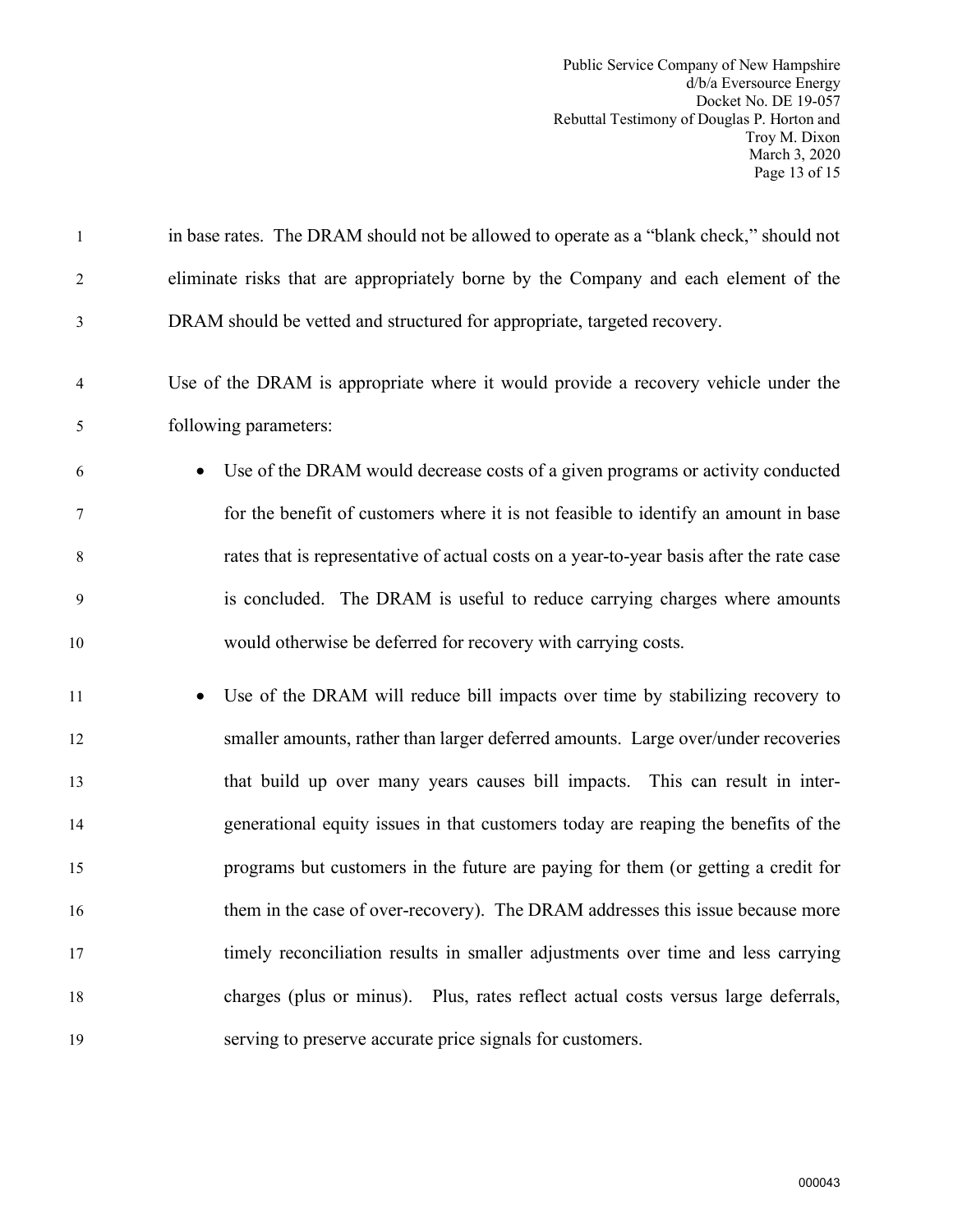Public Service Company of New Hampshire d/b/a Eversource Energy Docket No. DE 19-057 Rebuttal Testimony of Douglas P. Horton and Troy M. Dixon March 3, 2020 Page 13 of 15

| 1     | in base rates. The DRAM should not be allowed to operate as a "blank check," should not     |
|-------|---------------------------------------------------------------------------------------------|
| 2     | eliminate risks that are appropriately borne by the Company and each element of the         |
| 3     | DRAM should be vetted and structured for appropriate, targeted recovery.                    |
| 4     | Use of the DRAM is appropriate where it would provide a recovery vehicle under the          |
| 5     | following parameters:                                                                       |
| 6     | Use of the DRAM would decrease costs of a given programs or activity conducted<br>$\bullet$ |
| 7     | for the benefit of customers where it is not feasible to identify an amount in base         |
| $8\,$ | rates that is representative of actual costs on a year-to-year basis after the rate case    |
| 9     | is concluded. The DRAM is useful to reduce carrying charges where amounts                   |
| 10    | would otherwise be deferred for recovery with carrying costs.                               |
| 11    | Use of the DRAM will reduce bill impacts over time by stabilizing recovery to               |
| 12    | smaller amounts, rather than larger deferred amounts. Large over/under recoveries           |
| 13    | that build up over many years causes bill impacts. This can result in inter-                |
| 14    | generational equity issues in that customers today are reaping the benefits of the          |
| 15    | programs but customers in the future are paying for them (or getting a credit for           |
| 16    | them in the case of over-recovery). The DRAM addresses this issue because more              |
| 17    | timely reconciliation results in smaller adjustments over time and less carrying            |
| 18    | charges (plus or minus). Plus, rates reflect actual costs versus large deferrals,           |
| 19    | serving to preserve accurate price signals for customers.                                   |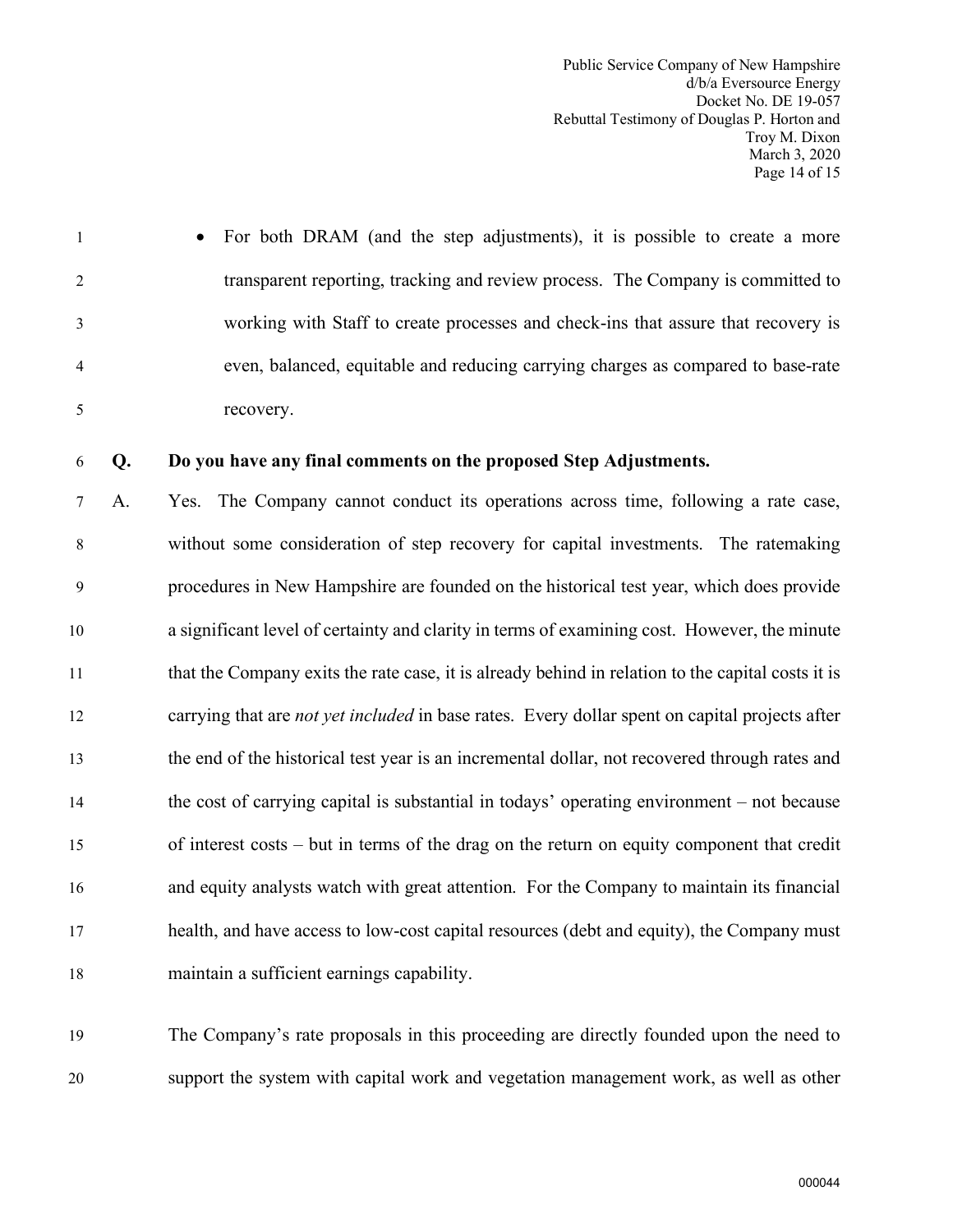Public Service Company of New Hampshire d/b/a Eversource Energy Docket No. DE 19-057 Rebuttal Testimony of Douglas P. Horton and Troy M. Dixon March 3, 2020 Page 14 of 15

1 • For both DRAM (and the step adjustments), it is possible to create a more 2 transparent reporting, tracking and review process. The Company is committed to 3 working with Staff to create processes and check-ins that assure that recovery is 4 even, balanced, equitable and reducing carrying charges as compared to base-rate 5 recovery.

#### 6 **Q. Do you have any final comments on the proposed Step Adjustments.**

7 A. Yes. The Company cannot conduct its operations across time, following a rate case, 8 without some consideration of step recovery for capital investments. The ratemaking 9 procedures in New Hampshire are founded on the historical test year, which does provide 10 a significant level of certainty and clarity in terms of examining cost. However, the minute 11 that the Company exits the rate case, it is already behind in relation to the capital costs it is 12 carrying that are *not yet included* in base rates. Every dollar spent on capital projects after 13 the end of the historical test year is an incremental dollar, not recovered through rates and 14 the cost of carrying capital is substantial in todays' operating environment – not because 15 of interest costs – but in terms of the drag on the return on equity component that credit 16 and equity analysts watch with great attention. For the Company to maintain its financial 17 health, and have access to low-cost capital resources (debt and equity), the Company must 18 maintain a sufficient earnings capability.

19 The Company's rate proposals in this proceeding are directly founded upon the need to 20 support the system with capital work and vegetation management work, as well as other